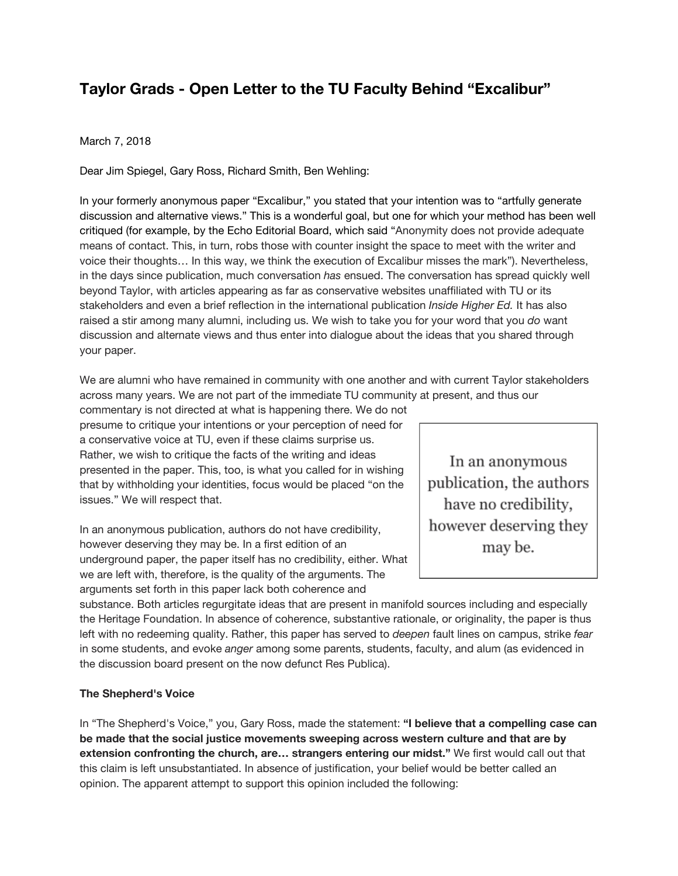# **Taylor Grads - Open Letter to the TU Faculty Behind "Excalibur"**

## March 7, 2018

Dear Jim Spiegel, Gary Ross, Richard Smith, Ben Wehling:

In your formerly anonymous paper "Excalibur," you stated that your intention was to "artfully generate discussion and alternative views." This is a wonderful goal, but one for which your method has been well critiqued (for example, by the Echo Editorial Board, which said "Anonymity does not provide adequate means of contact. This, in turn, robs those with counter insight the space to meet with the writer and voice their thoughts… In this way, we think the execution of Excalibur misses the mark"). Nevertheless, in the days since publication, much conversation *has* ensued. The conversation has spread quickly well beyond Taylor, with articles appearing as far as conservative websites unaffiliated with TU or its stakeholders and even a brief reflection in the international publication *Inside Higher Ed.* It has also raised a stir among many alumni, including us. We wish to take you for your word that you *do* want discussion and alternate views and thus enter into dialogue about the ideas that you shared through your paper.

We are alumni who have remained in community with one another and with current Taylor stakeholders across many years. We are not part of the immediate TU community at present, and thus our

commentary is not directed at what is happening there. We do not presume to critique your intentions or your perception of need for a conservative voice at TU, even if these claims surprise us. Rather, we wish to critique the facts of the writing and ideas presented in the paper. This, too, is what you called for in wishing that by withholding your identities, focus would be placed "on the issues." We will respect that.

In an anonymous publication, authors do not have credibility, however deserving they may be. In a first edition of an underground paper, the paper itself has no credibility, either. What we are left with, therefore, is the quality of the arguments. The arguments set forth in this paper lack both coherence and

In an anonymous publication, the authors have no credibility, however deserving they may be.

substance. Both articles regurgitate ideas that are present in manifold sources including and especially the Heritage Foundation. In absence of coherence, substantive rationale, or originality, the paper is thus left with no redeeming quality. Rather, this paper has served to *deepen* fault lines on campus, strike *fear* in some students, and evoke *anger* among some parents, students, faculty, and alum (as evidenced in the discussion board present on the now defunct Res Publica).

## **The Shepherd's Voice**

In "The Shepherd's Voice," you, Gary Ross, made the statement: **"I believe that a compelling case can be made that the social justice movements sweeping across western culture and that are by extension confronting the church, are… strangers entering our midst."** We first would call out that this claim is left unsubstantiated. In absence of justification, your belief would be better called an opinion. The apparent attempt to support this opinion included the following: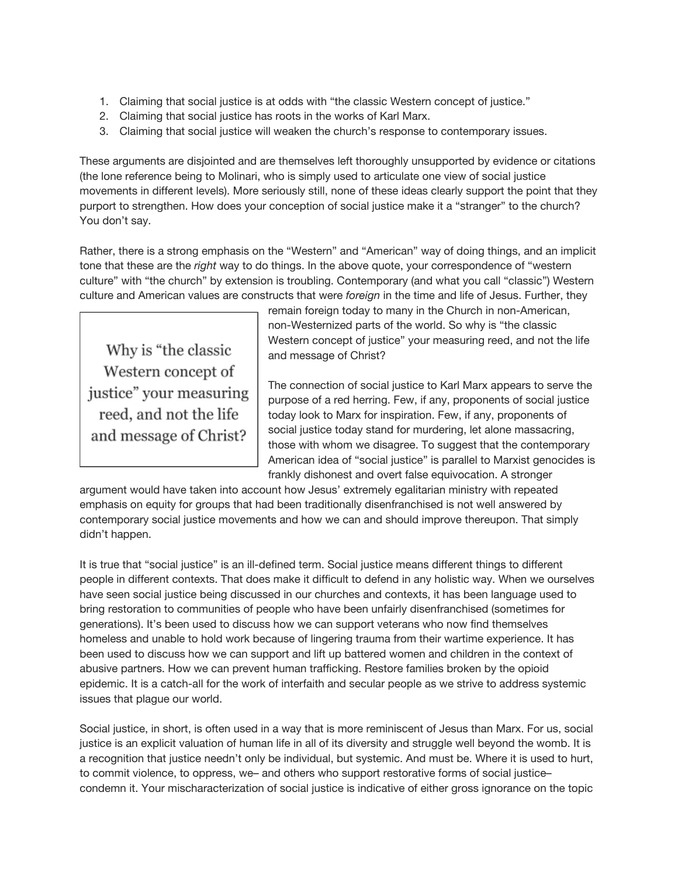- 1. Claiming that social justice is at odds with "the classic Western concept of justice."
- 2. Claiming that social justice has roots in the works of Karl Marx.
- 3. Claiming that social justice will weaken the church's response to contemporary issues.

These arguments are disjointed and are themselves left thoroughly unsupported by evidence or citations (the lone reference being to Molinari, who is simply used to articulate one view of social justice movements in different levels). More seriously still, none of these ideas clearly support the point that they purport to strengthen. How does your conception of social justice make it a "stranger" to the church? You don't say.

Rather, there is a strong emphasis on the "Western" and "American" way of doing things, and an implicit tone that these are the *right* way to do things. In the above quote, your correspondence of "western culture" with "the church" by extension is troubling. Contemporary (and what you call "classic") Western culture and American values are constructs that were *foreign* in the time and life of Jesus. Further, they

Why is "the classic Western concept of justice" your measuring reed, and not the life and message of Christ?

remain foreign today to many in the Church in non-American, non-Westernized parts of the world. So why is "the classic Western concept of justice" your measuring reed, and not the life and message of Christ?

The connection of social justice to Karl Marx appears to serve the purpose of a red herring. Few, if any, proponents of social justice today look to Marx for inspiration. Few, if any, proponents of social justice today stand for murdering, let alone massacring, those with whom we disagree. To suggest that the contemporary American idea of "social justice" is parallel to Marxist genocides is frankly dishonest and overt false equivocation. A stronger

argument would have taken into account how Jesus' extremely egalitarian ministry with repeated emphasis on equity for groups that had been traditionally disenfranchised is not well answered by contemporary social justice movements and how we can and should improve thereupon. That simply didn't happen.

It is true that "social justice" is an ill-defined term. Social justice means different things to different people in different contexts. That does make it difficult to defend in any holistic way. When we ourselves have seen social justice being discussed in our churches and contexts, it has been language used to bring restoration to communities of people who have been unfairly disenfranchised (sometimes for generations). It's been used to discuss how we can support veterans who now find themselves homeless and unable to hold work because of lingering trauma from their wartime experience. It has been used to discuss how we can support and lift up battered women and children in the context of abusive partners. How we can prevent human trafficking. Restore families broken by the opioid epidemic. It is a catch-all for the work of interfaith and secular people as we strive to address systemic issues that plague our world.

Social justice, in short, is often used in a way that is more reminiscent of Jesus than Marx. For us, social justice is an explicit valuation of human life in all of its diversity and struggle well beyond the womb. It is a recognition that justice needn't only be individual, but systemic. And must be. Where it is used to hurt, to commit violence, to oppress, we– and others who support restorative forms of social justice– condemn it. Your mischaracterization of social justice is indicative of either gross ignorance on the topic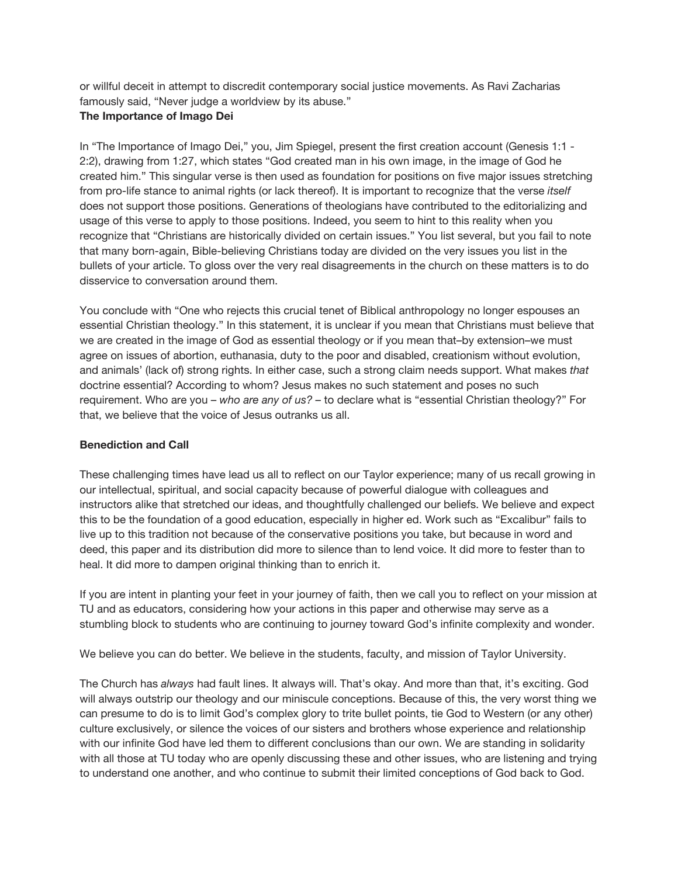or willful deceit in attempt to discredit contemporary social justice movements. As Ravi Zacharias famously said, "Never judge a worldview by its abuse."

## **The Importance of Imago Dei**

In "The Importance of Imago Dei," you, Jim Spiegel, present the first creation account (Genesis 1:1 - 2:2), drawing from 1:27, which states "God created man in his own image, in the image of God he created him." This singular verse is then used as foundation for positions on five major issues stretching from pro-life stance to animal rights (or lack thereof). It is important to recognize that the verse *itself* does not support those positions. Generations of theologians have contributed to the editorializing and usage of this verse to apply to those positions. Indeed, you seem to hint to this reality when you recognize that "Christians are historically divided on certain issues." You list several, but you fail to note that many born-again, Bible-believing Christians today are divided on the very issues you list in the bullets of your article. To gloss over the very real disagreements in the church on these matters is to do disservice to conversation around them.

You conclude with "One who rejects this crucial tenet of Biblical anthropology no longer espouses an essential Christian theology." In this statement, it is unclear if you mean that Christians must believe that we are created in the image of God as essential theology or if you mean that–by extension–we must agree on issues of abortion, euthanasia, duty to the poor and disabled, creationism without evolution, and animals' (lack of) strong rights. In either case, such a strong claim needs support. What makes *that* doctrine essential? According to whom? Jesus makes no such statement and poses no such requirement. Who are you – *who are any of us? –* to declare what is "essential Christian theology?" For that, we believe that the voice of Jesus outranks us all.

### **Benediction and Call**

These challenging times have lead us all to reflect on our Taylor experience; many of us recall growing in our intellectual, spiritual, and social capacity because of powerful dialogue with colleagues and instructors alike that stretched our ideas, and thoughtfully challenged our beliefs. We believe and expect this to be the foundation of a good education, especially in higher ed. Work such as "Excalibur" fails to live up to this tradition not because of the conservative positions you take, but because in word and deed, this paper and its distribution did more to silence than to lend voice. It did more to fester than to heal. It did more to dampen original thinking than to enrich it.

If you are intent in planting your feet in your journey of faith, then we call you to reflect on your mission at TU and as educators, considering how your actions in this paper and otherwise may serve as a stumbling block to students who are continuing to journey toward God's infinite complexity and wonder.

We believe you can do better. We believe in the students, faculty, and mission of Taylor University.

The Church has *always* had fault lines. It always will. That's okay. And more than that, it's exciting. God will always outstrip our theology and our miniscule conceptions. Because of this, the very worst thing we can presume to do is to limit God's complex glory to trite bullet points, tie God to Western (or any other) culture exclusively, or silence the voices of our sisters and brothers whose experience and relationship with our infinite God have led them to different conclusions than our own. We are standing in solidarity with all those at TU today who are openly discussing these and other issues, who are listening and trying to understand one another, and who continue to submit their limited conceptions of God back to God.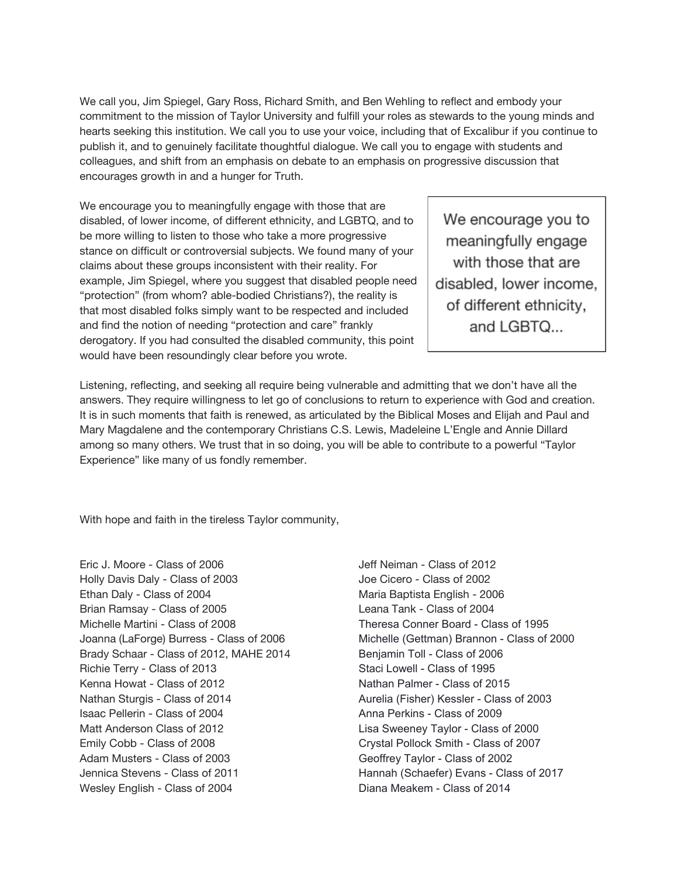We call you, Jim Spiegel, Gary Ross, Richard Smith, and Ben Wehling to reflect and embody your commitment to the mission of Taylor University and fulfill your roles as stewards to the young minds and hearts seeking this institution. We call you to use your voice, including that of Excalibur if you continue to publish it, and to genuinely facilitate thoughtful dialogue. We call you to engage with students and colleagues, and shift from an emphasis on debate to an emphasis on progressive discussion that encourages growth in and a hunger for Truth.

We encourage you to meaningfully engage with those that are disabled, of lower income, of different ethnicity, and LGBTQ, and to be more willing to listen to those who take a more progressive stance on difficult or controversial subjects. We found many of your claims about these groups inconsistent with their reality. For example, Jim Spiegel, where you suggest that disabled people need "protection" (from whom? able-bodied Christians?), the reality is that most disabled folks simply want to be respected and included and find the notion of needing "protection and care" frankly derogatory. If you had consulted the disabled community, this point would have been resoundingly clear before you wrote.

We encourage you to meaningfully engage with those that are disabled, lower income, of different ethnicity, and LGBTQ...

Listening, reflecting, and seeking all require being vulnerable and admitting that we don't have all the answers. They require willingness to let go of conclusions to return to experience with God and creation. It is in such moments that faith is renewed, as articulated by the Biblical Moses and Elijah and Paul and Mary Magdalene and the contemporary Christians C.S. Lewis, Madeleine L'Engle and Annie Dillard among so many others. We trust that in so doing, you will be able to contribute to a powerful "Taylor Experience" like many of us fondly remember.

With hope and faith in the tireless Taylor community,

Eric J. Moore - Class of 2006 Holly Davis Daly - Class of 2003 Ethan Daly - Class of 2004 Brian Ramsay - Class of 2005 Michelle Martini - Class of 2008 Joanna (LaForge) Burress - Class of 2006 Brady Schaar - Class of 2012, MAHE 2014 Richie Terry - Class of 2013 Kenna Howat - Class of 2012 Nathan Sturgis - Class of 2014 Isaac Pellerin - Class of 2004 Matt Anderson Class of 2012 Emily Cobb - Class of 2008 Adam Musters - Class of 2003 Jennica Stevens - Class of 2011 Wesley English - Class of 2004

Jeff Neiman - Class of 2012 Joe Cicero - Class of 2002 Maria Baptista English - 2006 Leana Tank - Class of 2004 Theresa Conner Board - Class of 1995 Michelle (Gettman) Brannon - Class of 2000 Benjamin Toll - Class of 2006 Staci Lowell - Class of 1995 Nathan Palmer - Class of 2015 Aurelia (Fisher) Kessler - Class of 2003 Anna Perkins - Class of 2009 Lisa Sweeney Taylor - Class of 2000 Crystal Pollock Smith - Class of 2007 Geoffrey Taylor - Class of 2002 Hannah (Schaefer) Evans - Class of 2017 Diana Meakem - Class of 2014